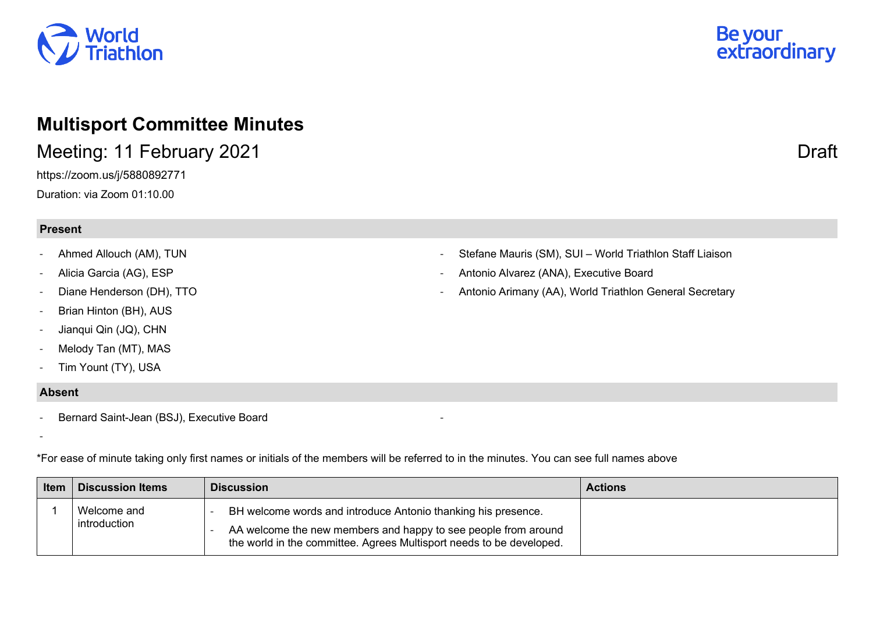

## **Multisport Committee Minutes**

Meeting: 11 February 2021 **Draft** 

https://zoom.us/j/5880892771 Duration: via Zoom 01:10.00

## **Present**

- Ahmed Allouch (AM), TUN
- Alicia Garcia (AG), ESP
- Diane Henderson (DH), TTO
- Brian Hinton (BH), AUS
- Jianqui Qin (JQ), CHN
- Melody Tan (MT), MAS
- Tim Yount (TY), USA

## **Absent**

- Bernard Saint-Jean (BSJ), Executive Board

-

\*For ease of minute taking only first names or initials of the members will be referred to in the minutes. You can see full names above

| <b>Item</b> | <b>Discussion Items</b>     | <b>Discussion</b>                                                                                                                                                                                       | <b>Actions</b> |
|-------------|-----------------------------|---------------------------------------------------------------------------------------------------------------------------------------------------------------------------------------------------------|----------------|
|             | Welcome and<br>introduction | BH welcome words and introduce Antonio thanking his presence.<br>AA welcome the new members and happy to see people from around<br>the world in the committee. Agrees Multisport needs to be developed. |                |

-

- Stefane Mauris (SM), SUI – World Triathlon Staff Liaison

- Antonio Alvarez (ANA), Executive Board
- Antonio Arimany (AA), World Triathlon General Secretary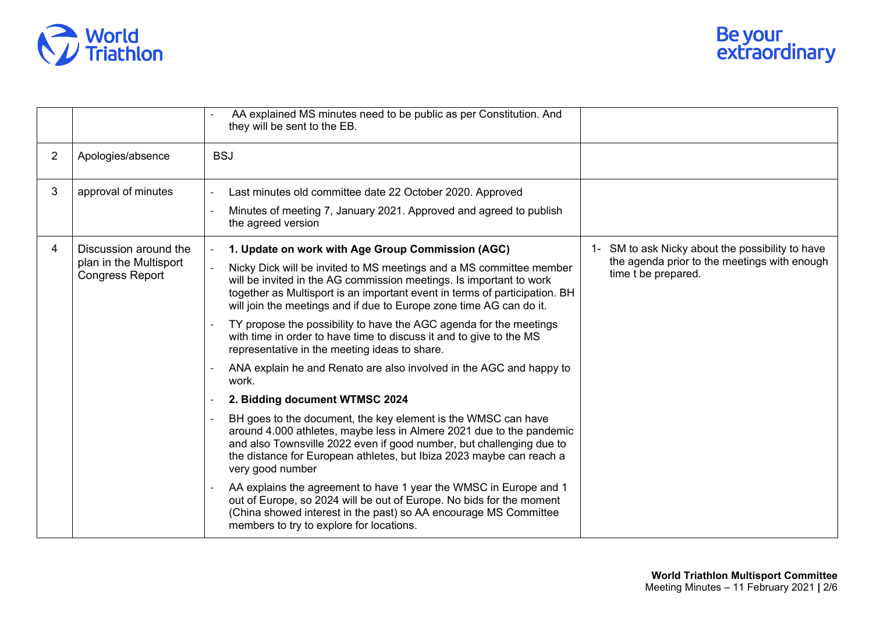

|                |                                                                           | AA explained MS minutes need to be public as per Constitution. And<br>they will be sent to the EB.                                                                                                                                                                                                        |                                                                     |
|----------------|---------------------------------------------------------------------------|-----------------------------------------------------------------------------------------------------------------------------------------------------------------------------------------------------------------------------------------------------------------------------------------------------------|---------------------------------------------------------------------|
| $\overline{2}$ | Apologies/absence                                                         | <b>BSJ</b>                                                                                                                                                                                                                                                                                                |                                                                     |
| 3              | approval of minutes                                                       | Last minutes old committee date 22 October 2020. Approved                                                                                                                                                                                                                                                 |                                                                     |
|                |                                                                           | Minutes of meeting 7, January 2021. Approved and agreed to publish<br>the agreed version                                                                                                                                                                                                                  |                                                                     |
| 4              | Discussion around the<br>plan in the Multisport<br><b>Congress Report</b> | 1. Update on work with Age Group Commission (AGC)                                                                                                                                                                                                                                                         | SM to ask Nicky about the possibility to have<br>$1 -$              |
|                |                                                                           | Nicky Dick will be invited to MS meetings and a MS committee member<br>will be invited in the AG commission meetings. Is important to work<br>together as Multisport is an important event in terms of participation. BH<br>will join the meetings and if due to Europe zone time AG can do it.           | the agenda prior to the meetings with enough<br>time t be prepared. |
|                |                                                                           | TY propose the possibility to have the AGC agenda for the meetings<br>with time in order to have time to discuss it and to give to the MS<br>representative in the meeting ideas to share.                                                                                                                |                                                                     |
|                |                                                                           | ANA explain he and Renato are also involved in the AGC and happy to<br>work.                                                                                                                                                                                                                              |                                                                     |
|                |                                                                           | 2. Bidding document WTMSC 2024                                                                                                                                                                                                                                                                            |                                                                     |
|                |                                                                           | BH goes to the document, the key element is the WMSC can have<br>around 4.000 athletes, maybe less in Almere 2021 due to the pandemic<br>and also Townsville 2022 even if good number, but challenging due to<br>the distance for European athletes, but Ibiza 2023 maybe can reach a<br>very good number |                                                                     |
|                |                                                                           | AA explains the agreement to have 1 year the WMSC in Europe and 1<br>out of Europe, so 2024 will be out of Europe. No bids for the moment<br>(China showed interest in the past) so AA encourage MS Committee<br>members to try to explore for locations.                                                 |                                                                     |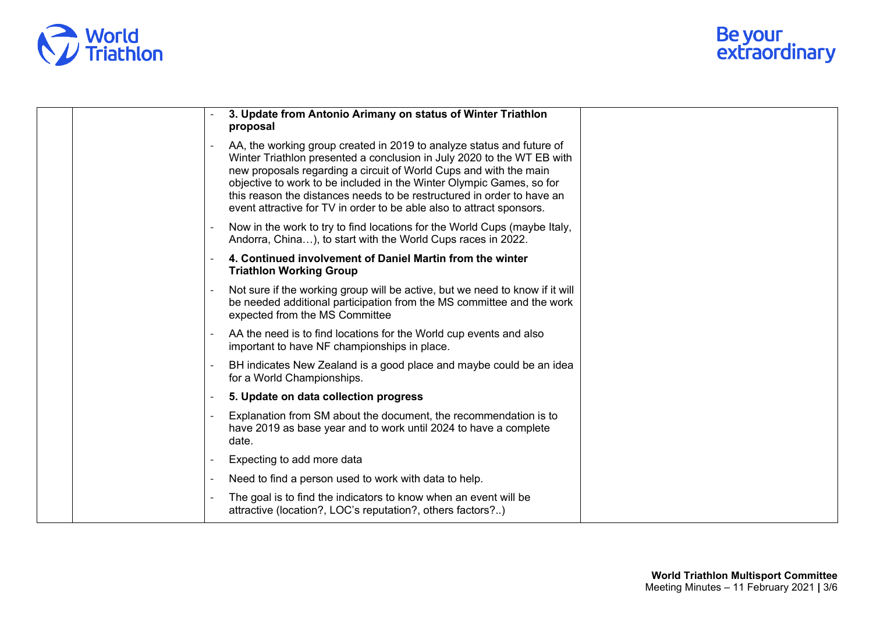

| 3. Update from Antonio Arimany on status of Winter Triathlon<br>proposal                                                                                                                                                                                                                                                                                                                                                                        |  |
|-------------------------------------------------------------------------------------------------------------------------------------------------------------------------------------------------------------------------------------------------------------------------------------------------------------------------------------------------------------------------------------------------------------------------------------------------|--|
| AA, the working group created in 2019 to analyze status and future of<br>Winter Triathlon presented a conclusion in July 2020 to the WT EB with<br>new proposals regarding a circuit of World Cups and with the main<br>objective to work to be included in the Winter Olympic Games, so for<br>this reason the distances needs to be restructured in order to have an<br>event attractive for TV in order to be able also to attract sponsors. |  |
| Now in the work to try to find locations for the World Cups (maybe Italy,<br>Andorra, China), to start with the World Cups races in 2022.                                                                                                                                                                                                                                                                                                       |  |
| 4. Continued involvement of Daniel Martin from the winter<br><b>Triathlon Working Group</b>                                                                                                                                                                                                                                                                                                                                                     |  |
| Not sure if the working group will be active, but we need to know if it will<br>be needed additional participation from the MS committee and the work<br>expected from the MS Committee                                                                                                                                                                                                                                                         |  |
| AA the need is to find locations for the World cup events and also<br>important to have NF championships in place.                                                                                                                                                                                                                                                                                                                              |  |
| BH indicates New Zealand is a good place and maybe could be an idea<br>for a World Championships.                                                                                                                                                                                                                                                                                                                                               |  |
| 5. Update on data collection progress                                                                                                                                                                                                                                                                                                                                                                                                           |  |
| Explanation from SM about the document, the recommendation is to<br>have 2019 as base year and to work until 2024 to have a complete<br>date.                                                                                                                                                                                                                                                                                                   |  |
| Expecting to add more data                                                                                                                                                                                                                                                                                                                                                                                                                      |  |
| Need to find a person used to work with data to help.                                                                                                                                                                                                                                                                                                                                                                                           |  |
| The goal is to find the indicators to know when an event will be<br>attractive (location?, LOC's reputation?, others factors?)                                                                                                                                                                                                                                                                                                                  |  |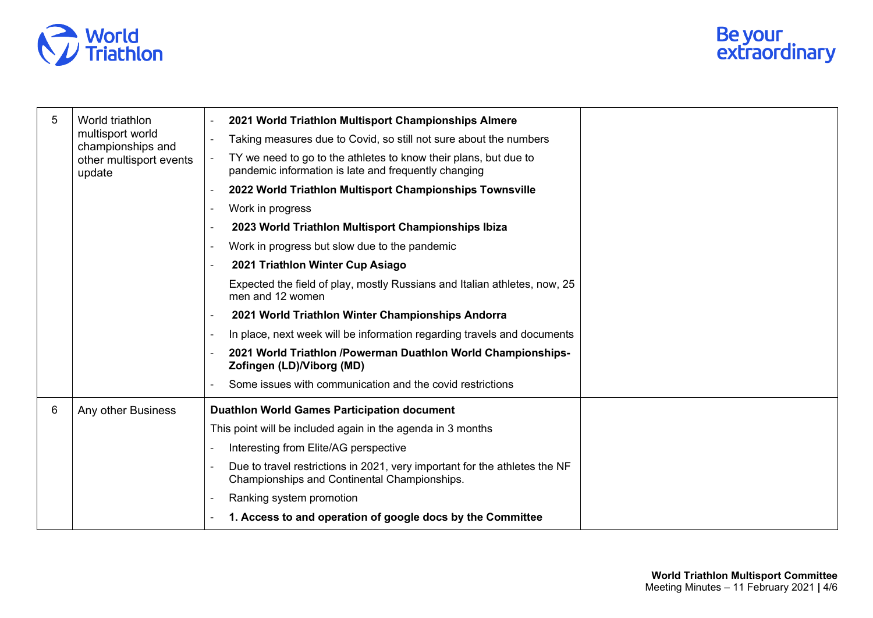

| 5 | World triathlon<br>multisport world<br>championships and<br>other multisport events<br>update | 2021 World Triathlon Multisport Championships Almere                                                                       |
|---|-----------------------------------------------------------------------------------------------|----------------------------------------------------------------------------------------------------------------------------|
|   |                                                                                               | Taking measures due to Covid, so still not sure about the numbers                                                          |
|   |                                                                                               | TY we need to go to the athletes to know their plans, but due to<br>pandemic information is late and frequently changing   |
|   |                                                                                               | 2022 World Triathlon Multisport Championships Townsville                                                                   |
|   |                                                                                               | Work in progress                                                                                                           |
|   |                                                                                               | 2023 World Triathlon Multisport Championships Ibiza                                                                        |
|   |                                                                                               | Work in progress but slow due to the pandemic                                                                              |
|   |                                                                                               | 2021 Triathlon Winter Cup Asiago                                                                                           |
|   |                                                                                               | Expected the field of play, mostly Russians and Italian athletes, now, 25<br>men and 12 women                              |
|   |                                                                                               | 2021 World Triathlon Winter Championships Andorra                                                                          |
|   |                                                                                               | In place, next week will be information regarding travels and documents                                                    |
|   |                                                                                               | 2021 World Triathlon /Powerman Duathlon World Championships-<br>Zofingen (LD)/Viborg (MD)                                  |
|   |                                                                                               | Some issues with communication and the covid restrictions                                                                  |
| 6 | Any other Business                                                                            | <b>Duathlon World Games Participation document</b>                                                                         |
|   |                                                                                               | This point will be included again in the agenda in 3 months                                                                |
|   |                                                                                               | Interesting from Elite/AG perspective                                                                                      |
|   |                                                                                               | Due to travel restrictions in 2021, very important for the athletes the NF<br>Championships and Continental Championships. |
|   |                                                                                               | Ranking system promotion                                                                                                   |
|   |                                                                                               | 1. Access to and operation of google docs by the Committee                                                                 |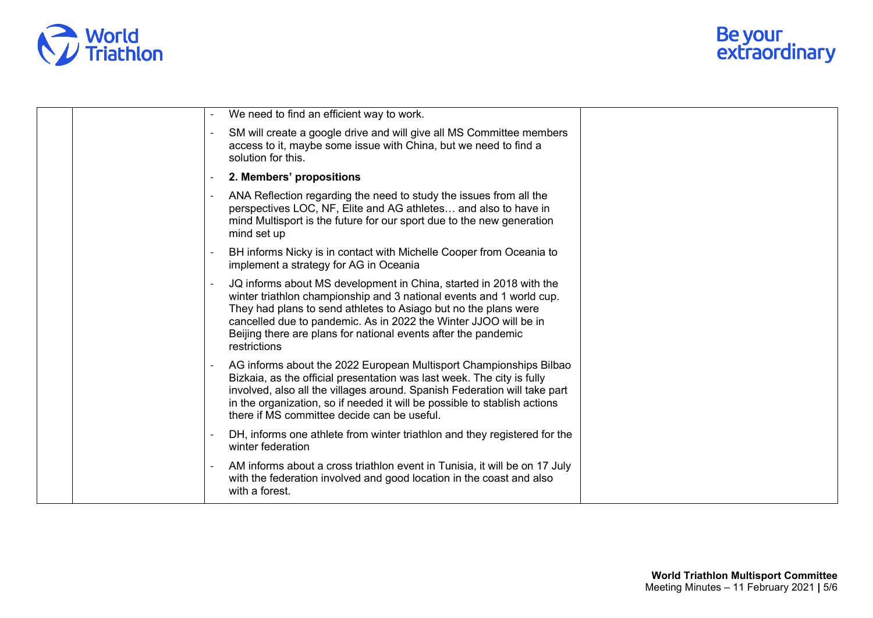

| We need to find an efficient way to work.                                                                                                                                                                                                                                                                                                                           |
|---------------------------------------------------------------------------------------------------------------------------------------------------------------------------------------------------------------------------------------------------------------------------------------------------------------------------------------------------------------------|
| SM will create a google drive and will give all MS Committee members<br>access to it, maybe some issue with China, but we need to find a<br>solution for this.                                                                                                                                                                                                      |
| 2. Members' propositions                                                                                                                                                                                                                                                                                                                                            |
| ANA Reflection regarding the need to study the issues from all the<br>perspectives LOC, NF, Elite and AG athletes and also to have in<br>mind Multisport is the future for our sport due to the new generation<br>mind set up                                                                                                                                       |
| BH informs Nicky is in contact with Michelle Cooper from Oceania to<br>implement a strategy for AG in Oceania                                                                                                                                                                                                                                                       |
| JQ informs about MS development in China, started in 2018 with the<br>winter triathlon championship and 3 national events and 1 world cup.<br>They had plans to send athletes to Asiago but no the plans were<br>cancelled due to pandemic. As in 2022 the Winter JJOO will be in<br>Beijing there are plans for national events after the pandemic<br>restrictions |
| AG informs about the 2022 European Multisport Championships Bilbao<br>Bizkaia, as the official presentation was last week. The city is fully<br>involved, also all the villages around. Spanish Federation will take part<br>in the organization, so if needed it will be possible to stablish actions<br>there if MS committee decide can be useful.               |
| DH, informs one athlete from winter triathlon and they registered for the<br>winter federation                                                                                                                                                                                                                                                                      |
| AM informs about a cross triathlon event in Tunisia, it will be on 17 July<br>with the federation involved and good location in the coast and also<br>with a forest.                                                                                                                                                                                                |